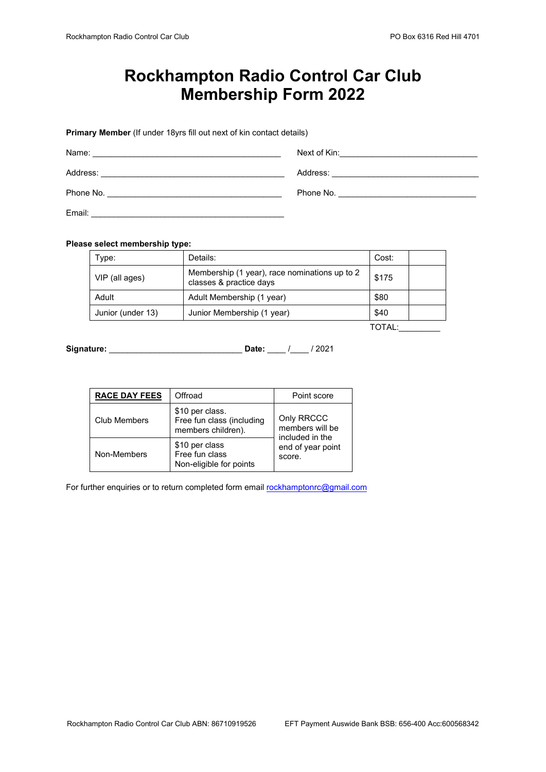## **Rockhampton Radio Control Car Club Membership Form 2022**

**Primary Member** (If under 18yrs fill out next of kin contact details)

| Name:     | Next of Kin:                                                                                                                                                                                                                         |
|-----------|--------------------------------------------------------------------------------------------------------------------------------------------------------------------------------------------------------------------------------------|
|           | <u> 1980 - Jan Barbara, martin da kasar A</u>                                                                                                                                                                                        |
| Address:  | Address:                                                                                                                                                                                                                             |
|           | <u> 1980 - Jan Stein Harry Stein Harry Stein Harry Stein Harry Stein Harry Stein Harry Stein Harry Stein Harry Stein Harry Stein Harry Stein Harry Stein Harry Stein Harry Stein Harry Stein Harry Stein Harry Stein Harry Stein</u> |
| Phone No. | Phone No. The contract of the contract of the contract of the contract of the contract of the contract of the contract of the contract of the contract of the contract of the contract of the contract of the contract of the        |
| Email:    |                                                                                                                                                                                                                                      |

## **Please select membership type:**

| Type:             | Details:                                                                 | Cost: |  |
|-------------------|--------------------------------------------------------------------------|-------|--|
| VIP (all ages)    | Membership (1 year), race nominations up to 2<br>classes & practice days | \$175 |  |
| Adult             | Adult Membership (1 year)                                                | \$80  |  |
| Junior (under 13) | Junior Membership (1 year)                                               | \$40  |  |
|                   |                                                                          |       |  |

 $T$ OTAL: $\_\_$ 

**Signature:** \_\_\_\_\_\_\_\_\_\_\_\_\_\_\_\_\_\_\_\_\_\_\_\_\_\_\_\_\_ **Date:** \_\_\_\_ /\_\_\_\_ / 2021

| <b>RACE DAY FEES</b> | Offroad                                                            | Point score                                                                     |
|----------------------|--------------------------------------------------------------------|---------------------------------------------------------------------------------|
| Club Members         | \$10 per class.<br>Free fun class (including<br>members children). | Only RRCCC<br>members will be<br>included in the<br>end of year point<br>score. |
| Non-Members          | \$10 per class<br>Free fun class<br>Non-eligible for points        |                                                                                 |

For further enquiries or to return completed form emai[l rockhamptonrc@gmail.com](mailto:rockhamptonrc@gmail.com)